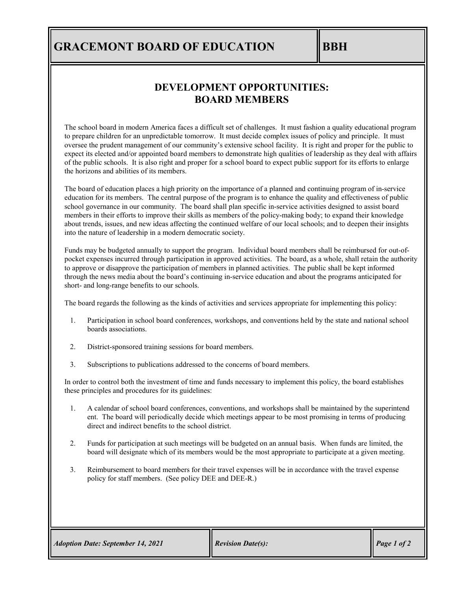## **GRACEMONT BOARD OF EDUCATION BBH**

## **DEVELOPMENT OPPORTUNITIES: BOARD MEMBERS**

The school board in modern America faces a difficult set of challenges. It must fashion a quality educational program to prepare children for an unpredictable tomorrow. It must decide complex issues of policy and principle. It must oversee the prudent management of our community's extensive school facility. It is right and proper for the public to expect its elected and/or appointed board members to demonstrate high qualities of leadership as they deal with affairs of the public schools. It is also right and proper for a school board to expect public support for its efforts to enlarge the horizons and abilities of its members.

The board of education places a high priority on the importance of a planned and continuing program of in-service education for its members. The central purpose of the program is to enhance the quality and effectiveness of public school governance in our community. The board shall plan specific in-service activities designed to assist board members in their efforts to improve their skills as members of the policy-making body; to expand their knowledge about trends, issues, and new ideas affecting the continued welfare of our local schools; and to deepen their insights into the nature of leadership in a modern democratic society.

Funds may be budgeted annually to support the program. Individual board members shall be reimbursed for out-ofpocket expenses incurred through participation in approved activities. The board, as a whole, shall retain the authority to approve or disapprove the participation of members in planned activities. The public shall be kept informed through the news media about the board's continuing in-service education and about the programs anticipated for short- and long-range benefits to our schools.

The board regards the following as the kinds of activities and services appropriate for implementing this policy:

- 1. Participation in school board conferences, workshops, and conventions held by the state and national school boards associations.
- 2. District-sponsored training sessions for board members.
- 3. Subscriptions to publications addressed to the concerns of board members.

In order to control both the investment of time and funds necessary to implement this policy, the board establishes these principles and procedures for its guidelines:

- 1. A calendar of school board conferences, conventions, and workshops shall be maintained by the superintend ent. The board will periodically decide which meetings appear to be most promising in terms of producing direct and indirect benefits to the school district.
- 2. Funds for participation at such meetings will be budgeted on an annual basis. When funds are limited, the board will designate which of its members would be the most appropriate to participate at a given meeting.
- 3. Reimbursement to board members for their travel expenses will be in accordance with the travel expense policy for staff members. (See policy DEE and DEE-R.)